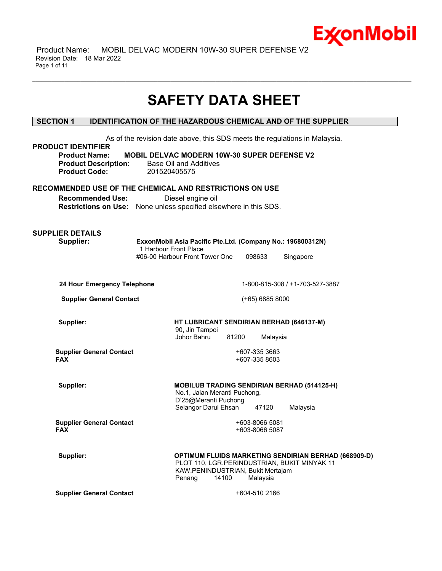

 Product Name: MOBIL DELVAC MODERN 10W-30 SUPER DEFENSE V2 Revision Date: 18 Mar 2022 Page 1 of 11

# **SAFETY DATA SHEET**

\_\_\_\_\_\_\_\_\_\_\_\_\_\_\_\_\_\_\_\_\_\_\_\_\_\_\_\_\_\_\_\_\_\_\_\_\_\_\_\_\_\_\_\_\_\_\_\_\_\_\_\_\_\_\_\_\_\_\_\_\_\_\_\_\_\_\_\_\_\_\_\_\_\_\_\_\_\_\_\_\_\_\_\_\_\_\_\_\_\_\_\_\_\_\_\_\_\_\_\_\_\_\_\_\_\_\_\_\_\_\_\_\_\_\_\_\_\_

# **SECTION 1 IDENTIFICATION OF THE HAZARDOUS CHEMICAL AND OF THE SUPPLIER**

| <b>PRODUCT IDENTIFIER</b><br><b>Product Name:</b><br><b>Product Description:</b><br><b>Product Code:</b>                                                | 201520405575          | <b>MOBIL DELVAC MODERN 10W-30 SUPER DEFENSE V2</b><br>Base Oil and Additives                 |       |                                  | As of the revision date above, this SDS meets the regulations in Malaysia.                           |  |
|---------------------------------------------------------------------------------------------------------------------------------------------------------|-----------------------|----------------------------------------------------------------------------------------------|-------|----------------------------------|------------------------------------------------------------------------------------------------------|--|
| RECOMMENDED USE OF THE CHEMICAL AND RESTRICTIONS ON USE<br><b>Recommended Use:</b><br>Restrictions on Use: None unless specified elsewhere in this SDS. |                       | Diesel engine oil                                                                            |       |                                  |                                                                                                      |  |
| <b>SUPPLIER DETAILS</b><br>Supplier:                                                                                                                    | 1 Harbour Front Place | ExxonMobil Asia Pacific Pte.Ltd. (Company No.: 196800312N)<br>#06-00 Harbour Front Tower One |       | 098633                           | Singapore                                                                                            |  |
| 24 Hour Emergency Telephone                                                                                                                             |                       |                                                                                              |       |                                  | 1-800-815-308 / +1-703-527-3887                                                                      |  |
| <b>Supplier General Contact</b>                                                                                                                         |                       |                                                                                              |       | $(+65)$ 6885 8000                |                                                                                                      |  |
| Supplier:                                                                                                                                               |                       | HT LUBRICANT SENDIRIAN BERHAD (646137-M)<br>90, Jin Tampoi<br>Johor Bahru                    | 81200 | Malaysia                         |                                                                                                      |  |
| <b>Supplier General Contact</b><br><b>FAX</b>                                                                                                           |                       |                                                                                              |       | +607-335 3663<br>+607-335 8603   |                                                                                                      |  |
| Supplier:                                                                                                                                               |                       | No.1, Jalan Meranti Puchong,<br>D'25@Meranti Puchong<br>Selangor Darul Ehsan                 |       | 47120                            | <b>MOBILUB TRADING SENDIRIAN BERHAD (514125-H)</b><br>Malaysia                                       |  |
| <b>Supplier General Contact</b><br><b>FAX</b>                                                                                                           |                       |                                                                                              |       | +603-8066 5081<br>+603-8066 5087 |                                                                                                      |  |
| Supplier:                                                                                                                                               |                       | KAW.PENINDUSTRIAN, Bukit Mertajam<br>Penang                                                  | 14100 | Malaysia                         | OPTIMUM FLUIDS MARKETING SENDIRIAN BERHAD (668909-D)<br>PLOT 110, LGR.PERINDUSTRIAN, BUKIT MINYAK 11 |  |
| <b>Supplier General Contact</b>                                                                                                                         |                       |                                                                                              |       | +604-510 2166                    |                                                                                                      |  |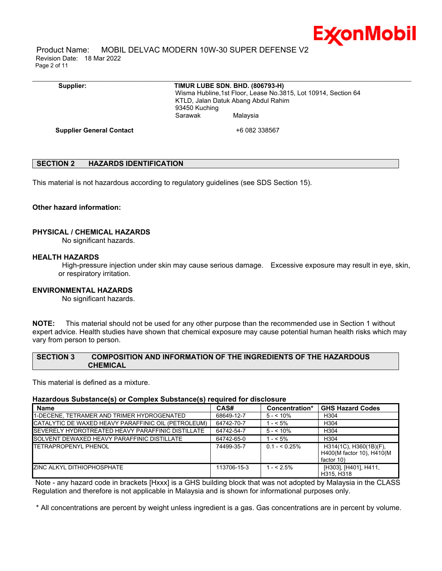

 Product Name: MOBIL DELVAC MODERN 10W-30 SUPER DEFENSE V2 Revision Date: 18 Mar 2022 Page 2 of 11

# **Supplier: TIMUR LUBE SDN. BHD. (806793-H)**

\_\_\_\_\_\_\_\_\_\_\_\_\_\_\_\_\_\_\_\_\_\_\_\_\_\_\_\_\_\_\_\_\_\_\_\_\_\_\_\_\_\_\_\_\_\_\_\_\_\_\_\_\_\_\_\_\_\_\_\_\_\_\_\_\_\_\_\_\_\_\_\_\_\_\_\_\_\_\_\_\_\_\_\_\_\_\_\_\_\_\_\_\_\_\_\_\_\_\_\_\_\_\_\_\_\_\_\_\_\_\_\_\_\_\_\_\_\_

 Wisma Hubline,1st Floor, Lease No.3815, Lot 10914, Section 64 KTLD, Jalan Datuk Abang Abdul Rahim 93450 Kuching Sarawak Malaysia

**Supplier General Contact** +6 082 338567

# **SECTION 2 HAZARDS IDENTIFICATION**

This material is not hazardous according to regulatory guidelines (see SDS Section 15).

# **Other hazard information:**

# **PHYSICAL / CHEMICAL HAZARDS**

No significant hazards.

#### **HEALTH HAZARDS**

High-pressure injection under skin may cause serious damage. Excessive exposure may result in eye, skin, or respiratory irritation.

# **ENVIRONMENTAL HAZARDS**

No significant hazards.

**NOTE:** This material should not be used for any other purpose than the recommended use in Section 1 without expert advice. Health studies have shown that chemical exposure may cause potential human health risks which may vary from person to person.

# **SECTION 3 COMPOSITION AND INFORMATION OF THE INGREDIENTS OF THE HAZARDOUS CHEMICAL**

This material is defined as a mixture.

# **Hazardous Substance(s) or Complex Substance(s) required for disclosure**

| <b>Name</b>                                         | CAS#        | Concentration* | <b>GHS Hazard Codes</b>                                           |
|-----------------------------------------------------|-------------|----------------|-------------------------------------------------------------------|
| 1-DECENE. TETRAMER AND TRIMER HYDROGENATED          | 68649-12-7  | $5 - 10\%$     | H <sub>304</sub>                                                  |
| CATALYTIC DE WAXED HEAVY PARAFFINIC OIL (PETROLEUM) | 64742-70-7  | $1 - 5\%$      | H <sub>304</sub>                                                  |
| SEVERELY HYDROTREATED HEAVY PARAFFINIC DISTILLATE   | 64742-54-7  | $5 - 10\%$     | H <sub>304</sub>                                                  |
| <b>ISOLVENT DEWAXED HEAVY PARAFFINIC DISTILLATE</b> | 64742-65-0  | $1 - 5\%$      | H <sub>304</sub>                                                  |
| <b>TETRAPROPENYL PHENOL</b>                         | 74499-35-7  | $0.1 - 5.25\%$ | H314(1C), H360(1B)(F),<br>H400(M factor 10), H410(M<br>factor 10) |
| IZINC ALKYL DITHIOPHOSPHATE                         | 113706-15-3 | $1 - 5\%$      | [H303], [H401], H411,<br>H315, H318                               |

Note - any hazard code in brackets [Hxxx] is a GHS building block that was not adopted by Malaysia in the CLASS Regulation and therefore is not applicable in Malaysia and is shown for informational purposes only.

\* All concentrations are percent by weight unless ingredient is a gas. Gas concentrations are in percent by volume.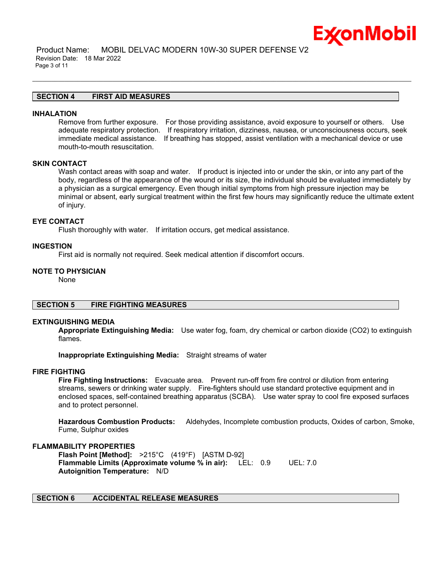

 Product Name: MOBIL DELVAC MODERN 10W-30 SUPER DEFENSE V2 Revision Date: 18 Mar 2022 Page 3 of 11

# **SECTION 4 FIRST AID MEASURES**

#### **INHALATION**

Remove from further exposure. For those providing assistance, avoid exposure to yourself or others. Use adequate respiratory protection. If respiratory irritation, dizziness, nausea, or unconsciousness occurs, seek immediate medical assistance. If breathing has stopped, assist ventilation with a mechanical device or use mouth-to-mouth resuscitation.

\_\_\_\_\_\_\_\_\_\_\_\_\_\_\_\_\_\_\_\_\_\_\_\_\_\_\_\_\_\_\_\_\_\_\_\_\_\_\_\_\_\_\_\_\_\_\_\_\_\_\_\_\_\_\_\_\_\_\_\_\_\_\_\_\_\_\_\_\_\_\_\_\_\_\_\_\_\_\_\_\_\_\_\_\_\_\_\_\_\_\_\_\_\_\_\_\_\_\_\_\_\_\_\_\_\_\_\_\_\_\_\_\_\_\_\_\_\_

# **SKIN CONTACT**

Wash contact areas with soap and water. If product is injected into or under the skin, or into any part of the body, regardless of the appearance of the wound or its size, the individual should be evaluated immediately by a physician as a surgical emergency. Even though initial symptoms from high pressure injection may be minimal or absent, early surgical treatment within the first few hours may significantly reduce the ultimate extent of injury.

#### **EYE CONTACT**

Flush thoroughly with water. If irritation occurs, get medical assistance.

# **INGESTION**

First aid is normally not required. Seek medical attention if discomfort occurs.

#### **NOTE TO PHYSICIAN**

None

# **SECTION 5 FIRE FIGHTING MEASURES**

#### **EXTINGUISHING MEDIA**

**Appropriate Extinguishing Media:** Use water fog, foam, dry chemical or carbon dioxide (CO2) to extinguish flames.

**Inappropriate Extinguishing Media:** Straight streams of water

# **FIRE FIGHTING**

**Fire Fighting Instructions:** Evacuate area. Prevent run-off from fire control or dilution from entering streams, sewers or drinking water supply. Fire-fighters should use standard protective equipment and in enclosed spaces, self-contained breathing apparatus (SCBA). Use water spray to cool fire exposed surfaces and to protect personnel.

**Hazardous Combustion Products:** Aldehydes, Incomplete combustion products, Oxides of carbon, Smoke, Fume, Sulphur oxides

# **FLAMMABILITY PROPERTIES**

**Flash Point [Method]:** >215°C (419°F) [ASTM D-92] **Flammable Limits (Approximate volume % in air):** LEL: 0.9 UEL: 7.0 **Autoignition Temperature:** N/D

# **SECTION 6 ACCIDENTAL RELEASE MEASURES**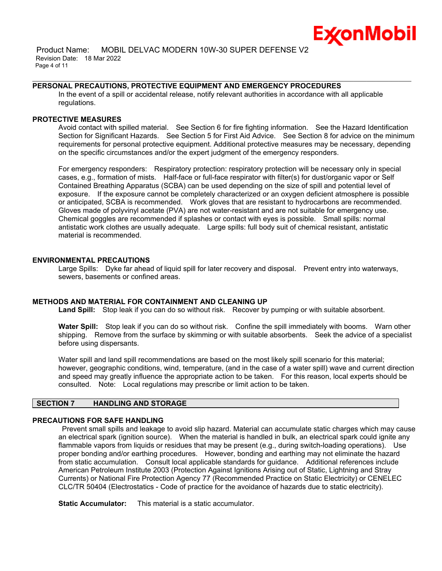

# **PERSONAL PRECAUTIONS, PROTECTIVE EQUIPMENT AND EMERGENCY PROCEDURES**

In the event of a spill or accidental release, notify relevant authorities in accordance with all applicable regulations.

\_\_\_\_\_\_\_\_\_\_\_\_\_\_\_\_\_\_\_\_\_\_\_\_\_\_\_\_\_\_\_\_\_\_\_\_\_\_\_\_\_\_\_\_\_\_\_\_\_\_\_\_\_\_\_\_\_\_\_\_\_\_\_\_\_\_\_\_\_\_\_\_\_\_\_\_\_\_\_\_\_\_\_\_\_\_\_\_\_\_\_\_\_\_\_\_\_\_\_\_\_\_\_\_\_\_\_\_\_\_\_\_\_\_\_\_\_\_

# **PROTECTIVE MEASURES**

Avoid contact with spilled material. See Section 6 for fire fighting information. See the Hazard Identification Section for Significant Hazards. See Section 5 for First Aid Advice. See Section 8 for advice on the minimum requirements for personal protective equipment. Additional protective measures may be necessary, depending on the specific circumstances and/or the expert judgment of the emergency responders.

For emergency responders: Respiratory protection: respiratory protection will be necessary only in special cases, e.g., formation of mists. Half-face or full-face respirator with filter(s) for dust/organic vapor or Self Contained Breathing Apparatus (SCBA) can be used depending on the size of spill and potential level of exposure. If the exposure cannot be completely characterized or an oxygen deficient atmosphere is possible or anticipated, SCBA is recommended. Work gloves that are resistant to hydrocarbons are recommended. Gloves made of polyvinyl acetate (PVA) are not water-resistant and are not suitable for emergency use. Chemical goggles are recommended if splashes or contact with eyes is possible. Small spills: normal antistatic work clothes are usually adequate. Large spills: full body suit of chemical resistant, antistatic material is recommended.

# **ENVIRONMENTAL PRECAUTIONS**

Large Spills: Dyke far ahead of liquid spill for later recovery and disposal. Prevent entry into waterways, sewers, basements or confined areas.

# **METHODS AND MATERIAL FOR CONTAINMENT AND CLEANING UP**

**Land Spill:** Stop leak if you can do so without risk. Recover by pumping or with suitable absorbent.

**Water Spill:** Stop leak if you can do so without risk. Confine the spill immediately with booms. Warn other shipping. Remove from the surface by skimming or with suitable absorbents. Seek the advice of a specialist before using dispersants.

Water spill and land spill recommendations are based on the most likely spill scenario for this material; however, geographic conditions, wind, temperature, (and in the case of a water spill) wave and current direction and speed may greatly influence the appropriate action to be taken. For this reason, local experts should be consulted. Note: Local regulations may prescribe or limit action to be taken.

# **SECTION 7 HANDLING AND STORAGE**

# **PRECAUTIONS FOR SAFE HANDLING**

Prevent small spills and leakage to avoid slip hazard. Material can accumulate static charges which may cause an electrical spark (ignition source). When the material is handled in bulk, an electrical spark could ignite any flammable vapors from liquids or residues that may be present (e.g., during switch-loading operations). Use proper bonding and/or earthing procedures. However, bonding and earthing may not eliminate the hazard from static accumulation. Consult local applicable standards for guidance. Additional references include American Petroleum Institute 2003 (Protection Against Ignitions Arising out of Static, Lightning and Stray Currents) or National Fire Protection Agency 77 (Recommended Practice on Static Electricity) or CENELEC CLC/TR 50404 (Electrostatics - Code of practice for the avoidance of hazards due to static electricity).

**Static Accumulator:** This material is a static accumulator.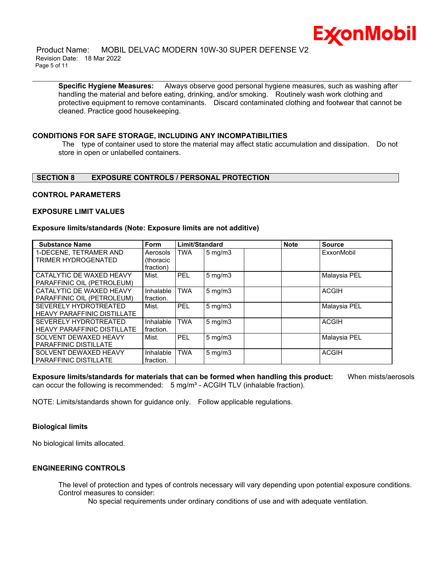

 Product Name: MOBIL DELVAC MODERN 10W-30 SUPER DEFENSE V2 Revision Date: 18 Mar 2022 Page 5 of 11

**Specific Hygiene Measures:** Always observe good personal hygiene measures, such as washing after handling the material and before eating, drinking, and/or smoking. Routinely wash work clothing and protective equipment to remove contaminants. Discard contaminated clothing and footwear that cannot be cleaned. Practice good housekeeping.

\_\_\_\_\_\_\_\_\_\_\_\_\_\_\_\_\_\_\_\_\_\_\_\_\_\_\_\_\_\_\_\_\_\_\_\_\_\_\_\_\_\_\_\_\_\_\_\_\_\_\_\_\_\_\_\_\_\_\_\_\_\_\_\_\_\_\_\_\_\_\_\_\_\_\_\_\_\_\_\_\_\_\_\_\_\_\_\_\_\_\_\_\_\_\_\_\_\_\_\_\_\_\_\_\_\_\_\_\_\_\_\_\_\_\_\_\_\_

# **CONDITIONS FOR SAFE STORAGE, INCLUDING ANY INCOMPATIBILITIES**

The type of container used to store the material may affect static accumulation and dissipation. Do not store in open or unlabelled containers.

# **SECTION 8 EXPOSURE CONTROLS / PERSONAL PROTECTION**

# **CONTROL PARAMETERS**

#### **EXPOSURE LIMIT VALUES**

#### **Exposure limits/standards (Note: Exposure limits are not additive)**

| <b>Substance Name</b>                         | Form                  | Limit/Standard |                  | <b>Note</b> | <b>Source</b> |
|-----------------------------------------------|-----------------------|----------------|------------------|-------------|---------------|
| 1-DECENE. TETRAMER AND<br>TRIMER HYDROGENATED | Aerosols<br>(thoracic | <b>TWA</b>     | $5 \text{ mg/m}$ |             | ExxonMobil    |
|                                               | fraction)             |                |                  |             |               |
| CATALYTIC DE WAXED HEAVY                      | Mist.                 | PEL            | $5 \text{ mg/m}$ |             | Malaysia PEL  |
| PARAFFINIC OIL (PETROLEUM)                    |                       |                |                  |             |               |
| CATALYTIC DE WAXED HEAVY                      | Inhalable             | <b>TWA</b>     | $5 \text{ mg/m}$ |             | <b>ACGIH</b>  |
| PARAFFINIC OIL (PETROLEUM)                    | fraction.             |                |                  |             |               |
| SEVERELY HYDROTREATED                         | Mist.                 | <b>PEL</b>     | $5 \text{ mg/m}$ |             | Malaysia PEL  |
| <b>HEAVY PARAFFINIC DISTILLATE</b>            |                       |                |                  |             |               |
| SEVERELY HYDROTREATED                         | Inhalable             | <b>TWA</b>     | $5 \text{ mg/m}$ |             | <b>ACGIH</b>  |
| <b>HEAVY PARAFFINIC DISTILLATE</b>            | fraction.             |                |                  |             |               |
| SOLVENT DEWAXED HEAVY                         | Mist.                 | <b>PEL</b>     | $5 \text{ mg/m}$ |             | Malaysia PEL  |
| <b>PARAFFINIC DISTILLATE</b>                  |                       |                |                  |             |               |
| SOLVENT DEWAXED HEAVY                         | Inhalable             | <b>TWA</b>     | $5 \text{ mg/m}$ |             | <b>ACGIH</b>  |
| <b>PARAFFINIC DISTILLATE</b>                  | fraction.             |                |                  |             |               |

**Exposure limits/standards for materials that can be formed when handling this product:** When mists/aerosols can occur the following is recommended:  $5 \text{ mg/m}^3$  - ACGIH TLV (inhalable fraction).

NOTE: Limits/standards shown for guidance only. Follow applicable regulations.

# **Biological limits**

No biological limits allocated.

# **ENGINEERING CONTROLS**

The level of protection and types of controls necessary will vary depending upon potential exposure conditions. Control measures to consider:

No special requirements under ordinary conditions of use and with adequate ventilation.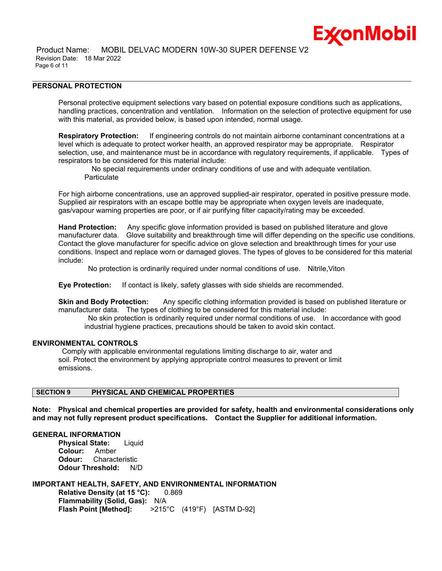

# **PERSONAL PROTECTION**

Personal protective equipment selections vary based on potential exposure conditions such as applications, handling practices, concentration and ventilation. Information on the selection of protective equipment for use with this material, as provided below, is based upon intended, normal usage.

\_\_\_\_\_\_\_\_\_\_\_\_\_\_\_\_\_\_\_\_\_\_\_\_\_\_\_\_\_\_\_\_\_\_\_\_\_\_\_\_\_\_\_\_\_\_\_\_\_\_\_\_\_\_\_\_\_\_\_\_\_\_\_\_\_\_\_\_\_\_\_\_\_\_\_\_\_\_\_\_\_\_\_\_\_\_\_\_\_\_\_\_\_\_\_\_\_\_\_\_\_\_\_\_\_\_\_\_\_\_\_\_\_\_\_\_\_\_

**Respiratory Protection:** If engineering controls do not maintain airborne contaminant concentrations at a level which is adequate to protect worker health, an approved respirator may be appropriate. Respirator selection, use, and maintenance must be in accordance with regulatory requirements, if applicable. Types of respirators to be considered for this material include:

 No special requirements under ordinary conditions of use and with adequate ventilation. **Particulate** 

For high airborne concentrations, use an approved supplied-air respirator, operated in positive pressure mode. Supplied air respirators with an escape bottle may be appropriate when oxygen levels are inadequate, gas/vapour warning properties are poor, or if air purifying filter capacity/rating may be exceeded.

**Hand Protection:** Any specific glove information provided is based on published literature and glove manufacturer data. Glove suitability and breakthrough time will differ depending on the specific use conditions. Contact the glove manufacturer for specific advice on glove selection and breakthrough times for your use conditions. Inspect and replace worn or damaged gloves. The types of gloves to be considered for this material include:

No protection is ordinarily required under normal conditions of use. Nitrile,Viton

**Eye Protection:** If contact is likely, safety glasses with side shields are recommended.

**Skin and Body Protection:** Any specific clothing information provided is based on published literature or manufacturer data. The types of clothing to be considered for this material include:

No skin protection is ordinarily required under normal conditions of use. In accordance with good industrial hygiene practices, precautions should be taken to avoid skin contact.

#### **ENVIRONMENTAL CONTROLS**

Comply with applicable environmental regulations limiting discharge to air, water and soil. Protect the environment by applying appropriate control measures to prevent or limit emissions.

# **SECTION 9 PHYSICAL AND CHEMICAL PROPERTIES**

**Note: Physical and chemical properties are provided for safety, health and environmental considerations only and may not fully represent product specifications. Contact the Supplier for additional information.**

# **GENERAL INFORMATION**

**Physical State:** Liquid **Colour:** Amber **Odour:** Characteristic **Odour Threshold:** N/D

# **IMPORTANT HEALTH, SAFETY, AND ENVIRONMENTAL INFORMATION**

**Relative Density (at 15 °C):** 0.869 **Flammability (Solid, Gas):** N/A **Flash Point [Method]:** >215°C (419°F) [ASTM D-92]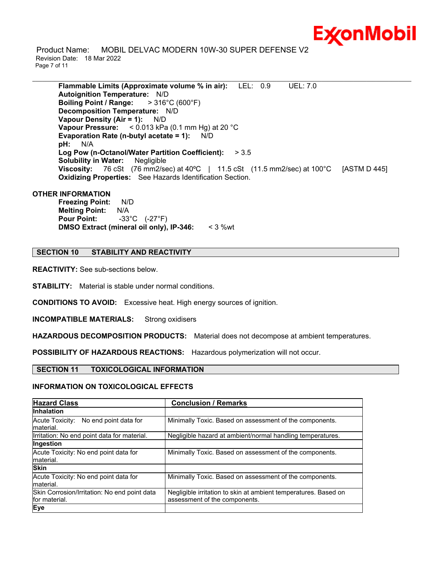

 Product Name: MOBIL DELVAC MODERN 10W-30 SUPER DEFENSE V2 Revision Date: 18 Mar 2022 Page 7 of 11

**Flammable Limits (Approximate volume % in air):** LEL: 0.9 UEL: 7.0 **Autoignition Temperature:** N/D **Boiling Point / Range:** > 316°C (600°F) **Decomposition Temperature:** N/D **Vapour Density (Air = 1):** N/D **Vapour Pressure:** < 0.013 kPa (0.1 mm Hg) at 20 °C **Evaporation Rate (n-butyl acetate = 1):** N/D **pH:** N/A **Log Pow (n-Octanol/Water Partition Coefficient):** > 3.5 **Solubility in Water:** Negligible **Viscosity:** 76 cSt (76 mm2/sec) at 40ºC | 11.5 cSt (11.5 mm2/sec) at 100°C [ASTM D 445] **Oxidizing Properties:** See Hazards Identification Section.

\_\_\_\_\_\_\_\_\_\_\_\_\_\_\_\_\_\_\_\_\_\_\_\_\_\_\_\_\_\_\_\_\_\_\_\_\_\_\_\_\_\_\_\_\_\_\_\_\_\_\_\_\_\_\_\_\_\_\_\_\_\_\_\_\_\_\_\_\_\_\_\_\_\_\_\_\_\_\_\_\_\_\_\_\_\_\_\_\_\_\_\_\_\_\_\_\_\_\_\_\_\_\_\_\_\_\_\_\_\_\_\_\_\_\_\_\_\_

# **OTHER INFORMATION**

**Freezing Point:** N/D **Melting Point:** N/A **Pour Point:** -33°C (-27°F) **DMSO Extract (mineral oil only), IP-346:** < 3 %wt

# **SECTION 10 STABILITY AND REACTIVITY**

**REACTIVITY:** See sub-sections below.

**STABILITY:** Material is stable under normal conditions.

**CONDITIONS TO AVOID:** Excessive heat. High energy sources of ignition.

**INCOMPATIBLE MATERIALS:** Strong oxidisers

**HAZARDOUS DECOMPOSITION PRODUCTS:** Material does not decompose at ambient temperatures.

**POSSIBILITY OF HAZARDOUS REACTIONS:** Hazardous polymerization will not occur.

# **SECTION 11 TOXICOLOGICAL INFORMATION**

#### **INFORMATION ON TOXICOLOGICAL EFFECTS**

| <b>Hazard Class</b>                                           | <b>Conclusion / Remarks</b>                                                                      |
|---------------------------------------------------------------|--------------------------------------------------------------------------------------------------|
| <b>Inhalation</b>                                             |                                                                                                  |
| Acute Toxicity: No end point data for<br>material.            | Minimally Toxic. Based on assessment of the components.                                          |
| Irritation: No end point data for material.                   | Negligible hazard at ambient/normal handling temperatures.                                       |
| Ingestion                                                     |                                                                                                  |
| Acute Toxicity: No end point data for<br>material.            | Minimally Toxic. Based on assessment of the components.                                          |
| <b>Skin</b>                                                   |                                                                                                  |
| Acute Toxicity: No end point data for<br>material.            | Minimally Toxic. Based on assessment of the components.                                          |
| Skin Corrosion/Irritation: No end point data<br>for material. | Negligible irritation to skin at ambient temperatures. Based on<br>assessment of the components. |
| Eye                                                           |                                                                                                  |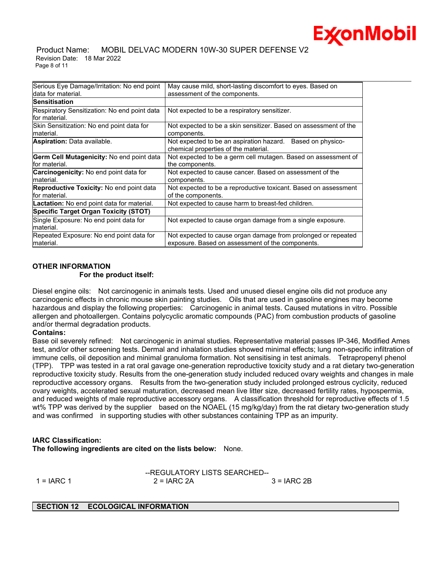

# Product Name: MOBIL DELVAC MODERN 10W-30 SUPER DEFENSE V2 Revision Date: 18 Mar 2022 Page 8 of 11

| Serious Eye Damage/Irritation: No end point                        | May cause mild, short-lasting discomfort to eyes. Based on                                                        |
|--------------------------------------------------------------------|-------------------------------------------------------------------------------------------------------------------|
| ldata for material.                                                | assessment of the components.                                                                                     |
| <b>Sensitisation</b>                                               |                                                                                                                   |
| Respiratory Sensitization: No end point data<br>lfor material.     | Not expected to be a respiratory sensitizer.                                                                      |
| Skin Sensitization: No end point data for<br>Imaterial.            | Not expected to be a skin sensitizer. Based on assessment of the<br>components.                                   |
| <b>Aspiration:</b> Data available.                                 | Not expected to be an aspiration hazard. Based on physico-<br>chemical properties of the material.                |
| <b>Germ Cell Mutagenicity: No end point data</b><br>lfor material. | Not expected to be a germ cell mutagen. Based on assessment of<br>the components.                                 |
| <b>Carcinogenicity:</b> No end point data for<br>material.         | Not expected to cause cancer. Based on assessment of the<br>components.                                           |
| <b>Reproductive Toxicity:</b> No end point data<br>for material.   | Not expected to be a reproductive toxicant. Based on assessment<br>of the components.                             |
| <b>Lactation:</b> No end point data for material.                  | Not expected to cause harm to breast-fed children.                                                                |
| <b>Specific Target Organ Toxicity (STOT)</b>                       |                                                                                                                   |
| Single Exposure: No end point data for<br>material.                | Not expected to cause organ damage from a single exposure.                                                        |
| Repeated Exposure: No end point data for<br>material.              | Not expected to cause organ damage from prolonged or repeated<br>exposure. Based on assessment of the components. |

# **OTHER INFORMATION**

# **For the product itself:**

Diesel engine oils: Not carcinogenic in animals tests. Used and unused diesel engine oils did not produce any carcinogenic effects in chronic mouse skin painting studies. Oils that are used in gasoline engines may become hazardous and display the following properties: Carcinogenic in animal tests. Caused mutations in vitro. Possible allergen and photoallergen. Contains polycyclic aromatic compounds (PAC) from combustion products of gasoline and/or thermal degradation products.

# **Contains:**

Base oil severely refined: Not carcinogenic in animal studies. Representative material passes IP-346, Modified Ames test, and/or other screening tests. Dermal and inhalation studies showed minimal effects; lung non-specific infiltration of immune cells, oil deposition and minimal granuloma formation. Not sensitising in test animals. Tetrapropenyl phenol (TPP). TPP was tested in a rat oral gavage one-generation reproductive toxicity study and a rat dietary two-generation reproductive toxicity study. Results from the one-generation study included reduced ovary weights and changes in male reproductive accessory organs. Results from the two-generation study included prolonged estrous cyclicity, reduced ovary weights, accelerated sexual maturation, decreased mean live litter size, decreased fertility rates, hypospermia, and reduced weights of male reproductive accessory organs. A classification threshold for reproductive effects of 1.5 wt% TPP was derived by the supplier based on the NOAEL (15 mg/kg/day) from the rat dietary two-generation study and was confirmed in supporting studies with other substances containing TPP as an impurity.

# **IARC Classification:**

**The following ingredients are cited on the lists below:** None.

--REGULATORY LISTS SEARCHED--

1 = IARC 1 2 = IARC 2A 3 = IARC 2B

# **SECTION 12 ECOLOGICAL INFORMATION**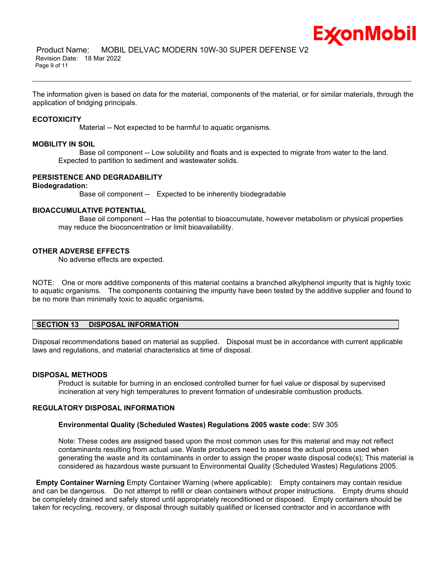

The information given is based on data for the material, components of the material, or for similar materials, through the application of bridging principals.

\_\_\_\_\_\_\_\_\_\_\_\_\_\_\_\_\_\_\_\_\_\_\_\_\_\_\_\_\_\_\_\_\_\_\_\_\_\_\_\_\_\_\_\_\_\_\_\_\_\_\_\_\_\_\_\_\_\_\_\_\_\_\_\_\_\_\_\_\_\_\_\_\_\_\_\_\_\_\_\_\_\_\_\_\_\_\_\_\_\_\_\_\_\_\_\_\_\_\_\_\_\_\_\_\_\_\_\_\_\_\_\_\_\_\_\_\_\_

# **ECOTOXICITY**

Material -- Not expected to be harmful to aquatic organisms.

# **MOBILITY IN SOIL**

 Base oil component -- Low solubility and floats and is expected to migrate from water to the land. Expected to partition to sediment and wastewater solids.

# **PERSISTENCE AND DEGRADABILITY**

# **Biodegradation:**

Base oil component -- Expected to be inherently biodegradable

# **BIOACCUMULATIVE POTENTIAL**

 Base oil component -- Has the potential to bioaccumulate, however metabolism or physical properties may reduce the bioconcentration or limit bioavailability.

# **OTHER ADVERSE EFFECTS**

No adverse effects are expected.

NOTE: One or more additive components of this material contains a branched alkylphenol impurity that is highly toxic to aquatic organisms. The components containing the impurity have been tested by the additive supplier and found to be no more than minimally toxic to aquatic organisms.

# **SECTION 13 DISPOSAL INFORMATION**

Disposal recommendations based on material as supplied. Disposal must be in accordance with current applicable laws and regulations, and material characteristics at time of disposal.

#### **DISPOSAL METHODS**

Product is suitable for burning in an enclosed controlled burner for fuel value or disposal by supervised incineration at very high temperatures to prevent formation of undesirable combustion products.

# **REGULATORY DISPOSAL INFORMATION**

# **Environmental Quality (Scheduled Wastes) Regulations 2005 waste code:** SW 305

Note: These codes are assigned based upon the most common uses for this material and may not reflect contaminants resulting from actual use. Waste producers need to assess the actual process used when generating the waste and its contaminants in order to assign the proper waste disposal code(s); This material is considered as hazardous waste pursuant to Environmental Quality (Scheduled Wastes) Regulations 2005.

**Empty Container Warning** Empty Container Warning (where applicable): Empty containers may contain residue and can be dangerous. Do not attempt to refill or clean containers without proper instructions. Empty drums should be completely drained and safely stored until appropriately reconditioned or disposed. Empty containers should be taken for recycling, recovery, or disposal through suitably qualified or licensed contractor and in accordance with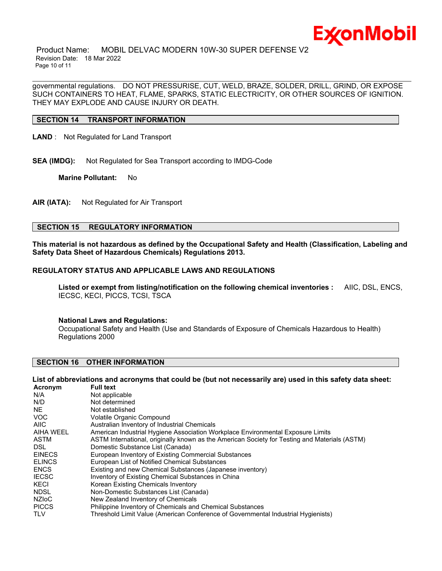

 Product Name: MOBIL DELVAC MODERN 10W-30 SUPER DEFENSE V2 Revision Date: 18 Mar 2022 Page 10 of 11

governmental regulations. DO NOT PRESSURISE, CUT, WELD, BRAZE, SOLDER, DRILL, GRIND, OR EXPOSE SUCH CONTAINERS TO HEAT, FLAME, SPARKS, STATIC ELECTRICITY, OR OTHER SOURCES OF IGNITION. THEY MAY EXPLODE AND CAUSE INJURY OR DEATH.

\_\_\_\_\_\_\_\_\_\_\_\_\_\_\_\_\_\_\_\_\_\_\_\_\_\_\_\_\_\_\_\_\_\_\_\_\_\_\_\_\_\_\_\_\_\_\_\_\_\_\_\_\_\_\_\_\_\_\_\_\_\_\_\_\_\_\_\_\_\_\_\_\_\_\_\_\_\_\_\_\_\_\_\_\_\_\_\_\_\_\_\_\_\_\_\_\_\_\_\_\_\_\_\_\_\_\_\_\_\_\_\_\_\_\_\_\_\_

# **SECTION 14 TRANSPORT INFORMATION**

**LAND** : Not Regulated for Land Transport

**SEA (IMDG):** Not Regulated for Sea Transport according to IMDG-Code

**Marine Pollutant:** No

**AIR (IATA):** Not Regulated for Air Transport

# **SECTION 15 REGULATORY INFORMATION**

**This material is not hazardous as defined by the Occupational Safety and Health (Classification, Labeling and Safety Data Sheet of Hazardous Chemicals) Regulations 2013.**

# **REGULATORY STATUS AND APPLICABLE LAWS AND REGULATIONS**

**Listed or exempt from listing/notification on the following chemical inventories :** AIIC, DSL, ENCS, IECSC, KECI, PICCS, TCSI, TSCA

#### **National Laws and Regulations:**

Occupational Safety and Health (Use and Standards of Exposure of Chemicals Hazardous to Health) Regulations 2000

# **SECTION 16 OTHER INFORMATION**

#### List of abbreviations and acronyms that could be (but not necessarily are) used in this safety data sheet:

| Acronym       | <b>Full text</b>                                                                              |
|---------------|-----------------------------------------------------------------------------------------------|
| N/A           | Not applicable                                                                                |
| N/D           | Not determined                                                                                |
| NE.           | Not established                                                                               |
| <b>VOC</b>    | Volatile Organic Compound                                                                     |
| <b>AIIC</b>   | Australian Inventory of Industrial Chemicals                                                  |
| AIHA WEEL     | American Industrial Hygiene Association Workplace Environmental Exposure Limits               |
| ASTM          | ASTM International, originally known as the American Society for Testing and Materials (ASTM) |
| DSL.          | Domestic Substance List (Canada)                                                              |
| <b>EINECS</b> | European Inventory of Existing Commercial Substances                                          |
| <b>ELINCS</b> | European List of Notified Chemical Substances                                                 |
| <b>ENCS</b>   | Existing and new Chemical Substances (Japanese inventory)                                     |
| <b>IECSC</b>  | Inventory of Existing Chemical Substances in China                                            |
| <b>KECI</b>   | Korean Existing Chemicals Inventory                                                           |
| <b>NDSL</b>   | Non-Domestic Substances List (Canada)                                                         |
| <b>NZIOC</b>  | New Zealand Inventory of Chemicals                                                            |
| <b>PICCS</b>  | Philippine Inventory of Chemicals and Chemical Substances                                     |
| <b>TLV</b>    | Threshold Limit Value (American Conference of Governmental Industrial Hygienists)             |